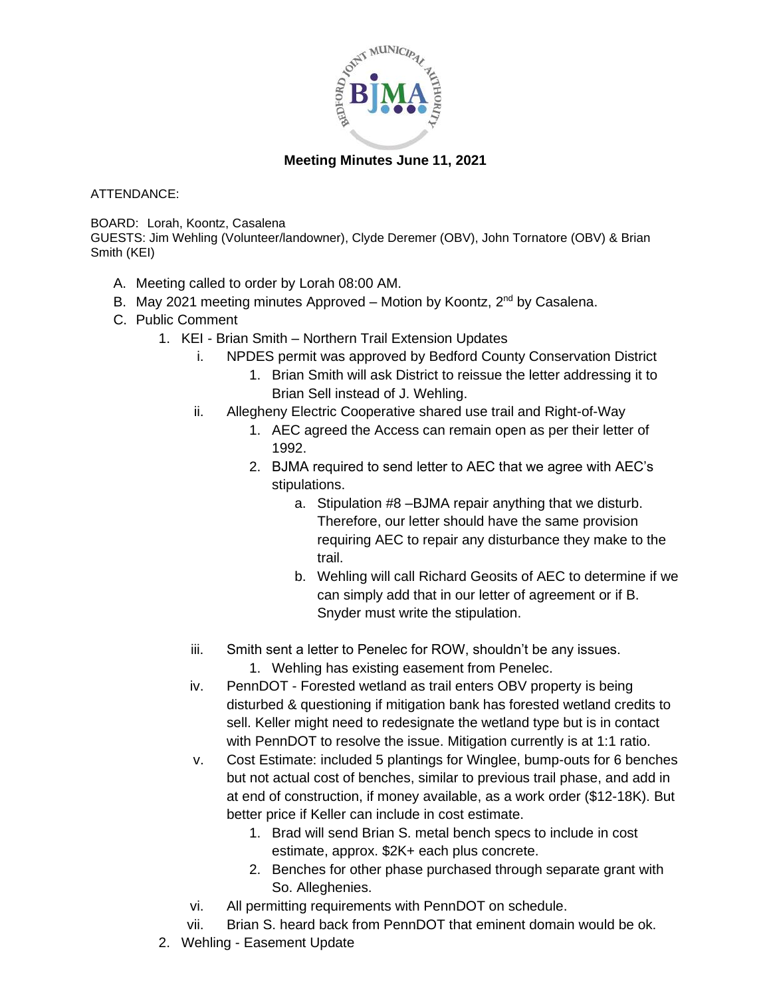

## **Meeting Minutes June 11, 202[1](http://www.bedfordheritagetrail.com/)**

ATTENDANCE:

BOARD: Lorah, Koontz, Casalena

GUESTS: Jim Wehling (Volunteer/landowner), Clyde Deremer (OBV), John Tornatore (OBV) & Brian Smith (KEI)

- A. Meeting called to order by Lorah 08:00 AM.
- B. May 2021 meeting minutes Approved Motion by Koontz, 2<sup>nd</sup> by Casalena.
- C. Public Comment
	- 1. KEI Brian Smith Northern Trail Extension Updates
		- i. NPDES permit was approved by Bedford County Conservation District
			- 1. Brian Smith will ask District to reissue the letter addressing it to Brian Sell instead of J. Wehling.
		- ii. Allegheny Electric Cooperative shared use trail and Right-of-Way
			- 1. AEC agreed the Access can remain open as per their letter of 1992.
			- 2. BJMA required to send letter to AEC that we agree with AEC's stipulations.
				- a. Stipulation #8 –BJMA repair anything that we disturb. Therefore, our letter should have the same provision requiring AEC to repair any disturbance they make to the trail.
				- b. Wehling will call Richard Geosits of AEC to determine if we can simply add that in our letter of agreement or if B. Snyder must write the stipulation.
		- iii. Smith sent a letter to Penelec for ROW, shouldn't be any issues.
			- 1. Wehling has existing easement from Penelec.
		- iv. PennDOT Forested wetland as trail enters OBV property is being disturbed & questioning if mitigation bank has forested wetland credits to sell. Keller might need to redesignate the wetland type but is in contact with PennDOT to resolve the issue. Mitigation currently is at 1:1 ratio.
		- v. Cost Estimate: included 5 plantings for Winglee, bump-outs for 6 benches but not actual cost of benches, similar to previous trail phase, and add in at end of construction, if money available, as a work order (\$12-18K). But better price if Keller can include in cost estimate.
			- 1. Brad will send Brian S. metal bench specs to include in cost estimate, approx. \$2K+ each plus concrete.
			- 2. Benches for other phase purchased through separate grant with So. Alleghenies.
		- vi. All permitting requirements with PennDOT on schedule.
		- vii. Brian S. heard back from PennDOT that eminent domain would be ok.
	- 2. Wehling Easement Update